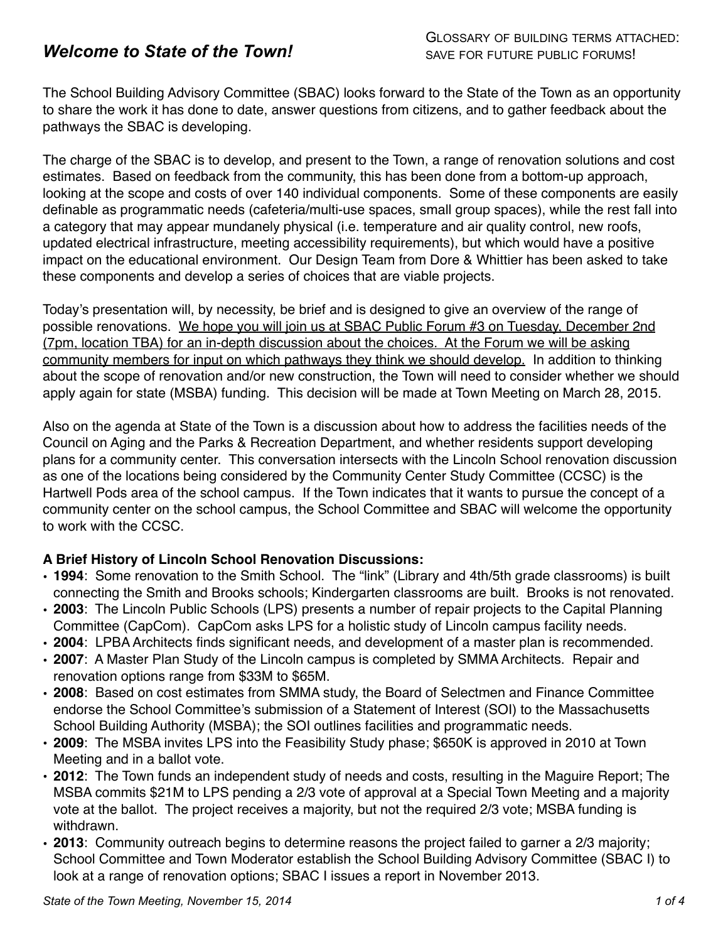# *Welcome to State of the Town!*

The School Building Advisory Committee (SBAC) looks forward to the State of the Town as an opportunity to share the work it has done to date, answer questions from citizens, and to gather feedback about the pathways the SBAC is developing.

The charge of the SBAC is to develop, and present to the Town, a range of renovation solutions and cost estimates. Based on feedback from the community, this has been done from a bottom-up approach, looking at the scope and costs of over 140 individual components. Some of these components are easily definable as programmatic needs (cafeteria/multi-use spaces, small group spaces), while the rest fall into a category that may appear mundanely physical (i.e. temperature and air quality control, new roofs, updated electrical infrastructure, meeting accessibility requirements), but which would have a positive impact on the educational environment. Our Design Team from Dore & Whittier has been asked to take these components and develop a series of choices that are viable projects.

Today's presentation will, by necessity, be brief and is designed to give an overview of the range of possible renovations. We hope you will join us at SBAC Public Forum #3 on Tuesday, December 2nd (7pm, location TBA) for an in-depth discussion about the choices. At the Forum we will be asking community members for input on which pathways they think we should develop. In addition to thinking about the scope of renovation and/or new construction, the Town will need to consider whether we should apply again for state (MSBA) funding. This decision will be made at Town Meeting on March 28, 2015.

Also on the agenda at State of the Town is a discussion about how to address the facilities needs of the Council on Aging and the Parks & Recreation Department, and whether residents support developing plans for a community center. This conversation intersects with the Lincoln School renovation discussion as one of the locations being considered by the Community Center Study Committee (CCSC) is the Hartwell Pods area of the school campus. If the Town indicates that it wants to pursue the concept of a community center on the school campus, the School Committee and SBAC will welcome the opportunity to work with the CCSC.

# **A Brief History of Lincoln School Renovation Discussions:**

- **1994**: Some renovation to the Smith School. The "link" (Library and 4th/5th grade classrooms) is built connecting the Smith and Brooks schools; Kindergarten classrooms are built. Brooks is not renovated.
- **2003**: The Lincoln Public Schools (LPS) presents a number of repair projects to the Capital Planning Committee (CapCom). CapCom asks LPS for a holistic study of Lincoln campus facility needs.
- **2004**: LPBA Architects finds significant needs, and development of a master plan is recommended.
- **2007**: A Master Plan Study of the Lincoln campus is completed by SMMA Architects. Repair and renovation options range from \$33M to \$65M.
- **2008**: Based on cost estimates from SMMA study, the Board of Selectmen and Finance Committee endorse the School Committee's submission of a Statement of Interest (SOI) to the Massachusetts School Building Authority (MSBA); the SOI outlines facilities and programmatic needs.
- **2009**: The MSBA invites LPS into the Feasibility Study phase; \$650K is approved in 2010 at Town Meeting and in a ballot vote.
- **2012**: The Town funds an independent study of needs and costs, resulting in the Maguire Report; The MSBA commits \$21M to LPS pending a 2/3 vote of approval at a Special Town Meeting and a majority vote at the ballot. The project receives a majority, but not the required 2/3 vote; MSBA funding is withdrawn.
- **2013**: Community outreach begins to determine reasons the project failed to garner a 2/3 majority; School Committee and Town Moderator establish the School Building Advisory Committee (SBAC I) to look at a range of renovation options; SBAC I issues a report in November 2013.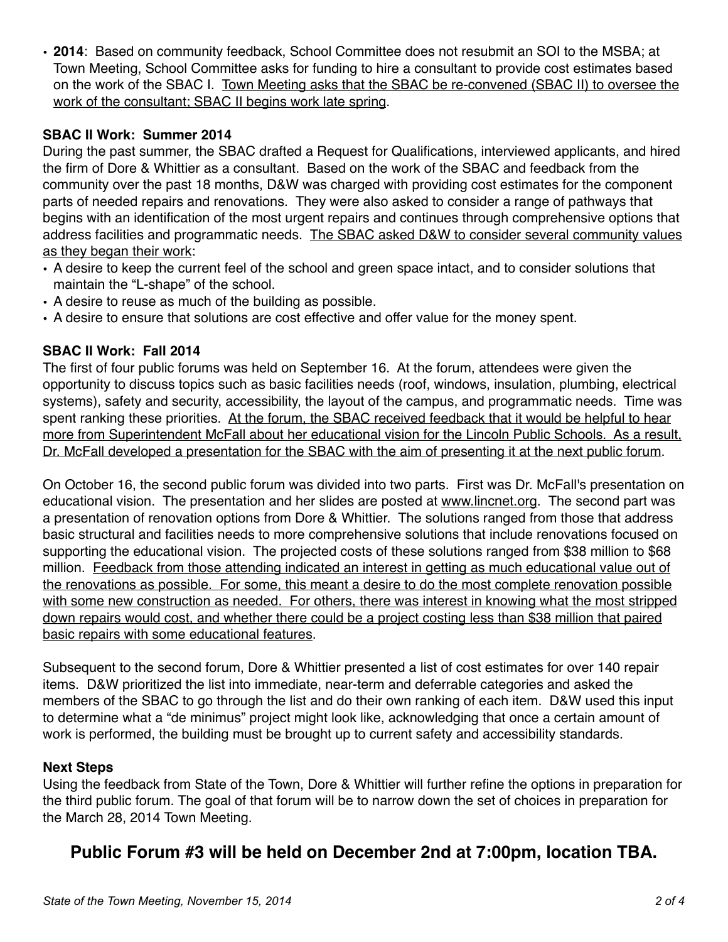• **2014**: Based on community feedback, School Committee does not resubmit an SOI to the MSBA; at Town Meeting, School Committee asks for funding to hire a consultant to provide cost estimates based on the work of the SBAC I. Town Meeting asks that the SBAC be re-convened (SBAC II) to oversee the work of the consultant; SBAC II begins work late spring.

# **SBAC II Work: Summer 2014**

During the past summer, the SBAC drafted a Request for Qualifications, interviewed applicants, and hired the firm of Dore & Whittier as a consultant. Based on the work of the SBAC and feedback from the community over the past 18 months, D&W was charged with providing cost estimates for the component parts of needed repairs and renovations. They were also asked to consider a range of pathways that begins with an identification of the most urgent repairs and continues through comprehensive options that address facilities and programmatic needs. The SBAC asked D&W to consider several community values as they began their work:

- A desire to keep the current feel of the school and green space intact, and to consider solutions that maintain the "L-shape" of the school.
- A desire to reuse as much of the building as possible.
- A desire to ensure that solutions are cost effective and offer value for the money spent.

# **SBAC II Work: Fall 2014**

The first of four public forums was held on September 16. At the forum, attendees were given the opportunity to discuss topics such as basic facilities needs (roof, windows, insulation, plumbing, electrical systems), safety and security, accessibility, the layout of the campus, and programmatic needs. Time was spent ranking these priorities. At the forum, the SBAC received feedback that it would be helpful to hear more from Superintendent McFall about her educational vision for the Lincoln Public Schools. As a result, Dr. McFall developed a presentation for the SBAC with the aim of presenting it at the next public forum.

On October 16, the second public forum was divided into two parts. First was Dr. McFall's presentation on educational vision. The presentation and her slides are posted at [www.lincnet.org.](http://www.lincnet.org) The second part was a presentation of renovation options from Dore & Whittier. The solutions ranged from those that address basic structural and facilities needs to more comprehensive solutions that include renovations focused on supporting the educational vision. The projected costs of these solutions ranged from \$38 million to \$68 million. Feedback from those attending indicated an interest in getting as much educational value out of the renovations as possible. For some, this meant a desire to do the most complete renovation possible with some new construction as needed. For others, there was interest in knowing what the most stripped down repairs would cost, and whether there could be a project costing less than \$38 million that paired basic repairs with some educational features.

Subsequent to the second forum, Dore & Whittier presented a list of cost estimates for over 140 repair items. D&W prioritized the list into immediate, near-term and deferrable categories and asked the members of the SBAC to go through the list and do their own ranking of each item. D&W used this input to determine what a "de minimus" project might look like, acknowledging that once a certain amount of work is performed, the building must be brought up to current safety and accessibility standards.

# **Next Steps**

Using the feedback from State of the Town, Dore & Whittier will further refine the options in preparation for the third public forum. The goal of that forum will be to narrow down the set of choices in preparation for the March 28, 2014 Town Meeting.

# **Public Forum #3 will be held on December 2nd at 7:00pm, location TBA.**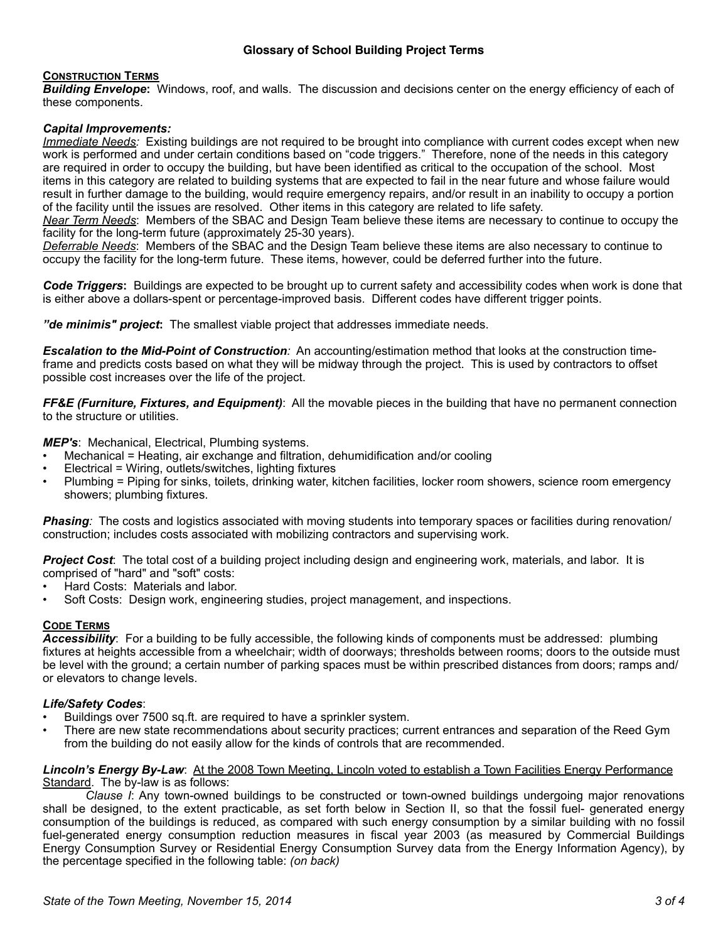## **Glossary of School Building Project Terms**

### **CONSTRUCTION TERMS**

*Building Envelope***:** Windows, roof, and walls. The discussion and decisions center on the energy efficiency of each of these components.

### *Capital Improvements:*

*Immediate Needs:* Existing buildings are not required to be brought into compliance with current codes except when new work is performed and under certain conditions based on "code triggers." Therefore, none of the needs in this category are required in order to occupy the building, but have been identified as critical to the occupation of the school. Most items in this category are related to building systems that are expected to fail in the near future and whose failure would result in further damage to the building, would require emergency repairs, and/or result in an inability to occupy a portion of the facility until the issues are resolved. Other items in this category are related to life safety.

*Near Term Needs*: Members of the SBAC and Design Team believe these items are necessary to continue to occupy the facility for the long-term future (approximately 25-30 years).

*Deferrable Needs*: Members of the SBAC and the Design Team believe these items are also necessary to continue to occupy the facility for the long-term future. These items, however, could be deferred further into the future.

*Code Triggers***:** Buildings are expected to be brought up to current safety and accessibility codes when work is done that is either above a dollars-spent or percentage-improved basis. Different codes have different trigger points.

*"de minimis" project***:** The smallest viable project that addresses immediate needs.

*Escalation to the Mid-Point of Construction:* An accounting/estimation method that looks at the construction timeframe and predicts costs based on what they will be midway through the project. This is used by contractors to offset possible cost increases over the life of the project.

*FF&E (Furniture, Fixtures, and Equipment)*: All the movable pieces in the building that have no permanent connection to the structure or utilities.

*MEP's*: Mechanical, Electrical, Plumbing systems.

- Mechanical = Heating, air exchange and filtration, dehumidification and/or cooling
- Electrical = Wiring, outlets/switches, lighting fixtures
- Plumbing = Piping for sinks, toilets, drinking water, kitchen facilities, locker room showers, science room emergency showers; plumbing fixtures.

*Phasing:* The costs and logistics associated with moving students into temporary spaces or facilities during renovation/ construction; includes costs associated with mobilizing contractors and supervising work.

*Project Cost*: The total cost of a building project including design and engineering work, materials, and labor. It is comprised of "hard" and "soft" costs:

- Hard Costs: Materials and labor.
- Soft Costs: Design work, engineering studies, project management, and inspections.

### **CODE TERMS**

*Accessibility*: For a building to be fully accessible, the following kinds of components must be addressed: plumbing fixtures at heights accessible from a wheelchair; width of doorways; thresholds between rooms; doors to the outside must be level with the ground; a certain number of parking spaces must be within prescribed distances from doors; ramps and/ or elevators to change levels.

### *Life/Safety Codes*:

- Buildings over 7500 sq.ft. are required to have a sprinkler system.
- There are new state recommendations about security practices; current entrances and separation of the Reed Gym from the building do not easily allow for the kinds of controls that are recommended.

#### *Lincoln's Energy By-Law*: At the 2008 Town Meeting, Lincoln voted to establish a Town Facilities Energy Performance Standard. The by-law is as follows:

*Clause I*: Any town-owned buildings to be constructed or town-owned buildings undergoing major renovations shall be designed, to the extent practicable, as set forth below in Section II, so that the fossil fuel- generated energy consumption of the buildings is reduced, as compared with such energy consumption by a similar building with no fossil fuel-generated energy consumption reduction measures in fiscal year 2003 (as measured by Commercial Buildings Energy Consumption Survey or Residential Energy Consumption Survey data from the Energy Information Agency), by the percentage specified in the following table: *(on back)*